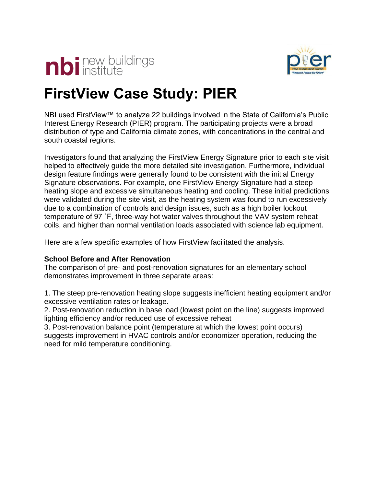



# **FirstView Case Study: PIER**

NBI used FirstView™ to analyze 22 buildings involved in the State of California's Public Interest Energy Research (PIER) program. The participating projects were a broad distribution of type and California climate zones, with concentrations in the central and south coastal regions.

Investigators found that analyzing the FirstView Energy Signature prior to each site visit helped to effectively guide the more detailed site investigation. Furthermore, individual design feature findings were generally found to be consistent with the initial Energy Signature observations. For example, one FirstView Energy Signature had a steep heating slope and excessive simultaneous heating and cooling. These initial predictions were validated during the site visit, as the heating system was found to run excessively due to a combination of controls and design issues, such as a high boiler lockout temperature of 97 ˚F, three-way hot water valves throughout the VAV system reheat coils, and higher than normal ventilation loads associated with science lab equipment.

Here are a few specific examples of how FirstView facilitated the analysis.

# **School Before and After Renovation**

The comparison of pre- and post-renovation signatures for an elementary school demonstrates improvement in three separate areas:

1. The steep pre-renovation heating slope suggests inefficient heating equipment and/or excessive ventilation rates or leakage.

2. Post-renovation reduction in base load (lowest point on the line) suggests improved lighting efficiency and/or reduced use of excessive reheat

3. Post-renovation balance point (temperature at which the lowest point occurs) suggests improvement in HVAC controls and/or economizer operation, reducing the need for mild temperature conditioning.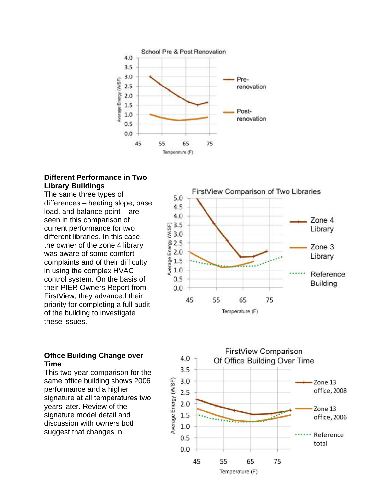

### **Different Performance in Two Library Buildings**

The same three types of differences – heating slope, base load, and balance point – are seen in this comparison of current performance for two different libraries. In this case, the owner of the zone 4 library was aware of some comfort complaints and of their difficulty in using the complex HVAC control system. On the basis of their PIER Owners Report from FirstView, they advanced their priority for completing a full audit of the building to investigate these issues.

#### 5.0 4.5 4.0 Zone 4  $\begin{array}{c} \n\bigoplus 3.5 \\
\bigoplus 3.0\n\end{array}$ Library  $\frac{25}{6}$  2.5<br>= 2.0 Zone 3 Library  $\frac{6}{8}$  1.5<br> $\frac{1}{8}$  1.0 Reference  $0.5$ **Building**  $0.0$ 45 55 65 75 Temperature (F)

FirstView Comparison of Two Libraries

## **Office Building Change over Time**

This two-year comparison for the same office building shows 2006 performance and a higher signature at all temperatures two years later. Review of the signature model detail and discussion with owners both suggest that changes in

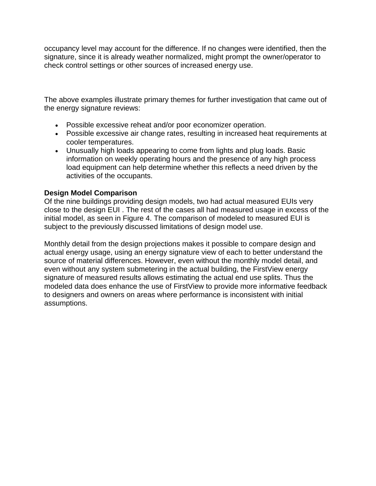occupancy level may account for the difference. If no changes were identified, then the signature, since it is already weather normalized, might prompt the owner/operator to check control settings or other sources of increased energy use.

The above examples illustrate primary themes for further investigation that came out of the energy signature reviews:

- Possible excessive reheat and/or poor economizer operation.
- Possible excessive air change rates, resulting in increased heat requirements at cooler temperatures.
- Unusually high loads appearing to come from lights and plug loads. Basic information on weekly operating hours and the presence of any high process load equipment can help determine whether this reflects a need driven by the activities of the occupants.

## **Design Model Comparison**

Of the nine buildings providing design models, two had actual measured EUIs very close to the design EUI . The rest of the cases all had measured usage in excess of the initial model, as seen in Figure 4. The comparison of modeled to measured EUI is subject to the previously discussed limitations of design model use.

Monthly detail from the design projections makes it possible to compare design and actual energy usage, using an energy signature view of each to better understand the source of material differences. However, even without the monthly model detail, and even without any system submetering in the actual building, the FirstView energy signature of measured results allows estimating the actual end use splits. Thus the modeled data does enhance the use of FirstView to provide more informative feedback to designers and owners on areas where performance is inconsistent with initial assumptions.